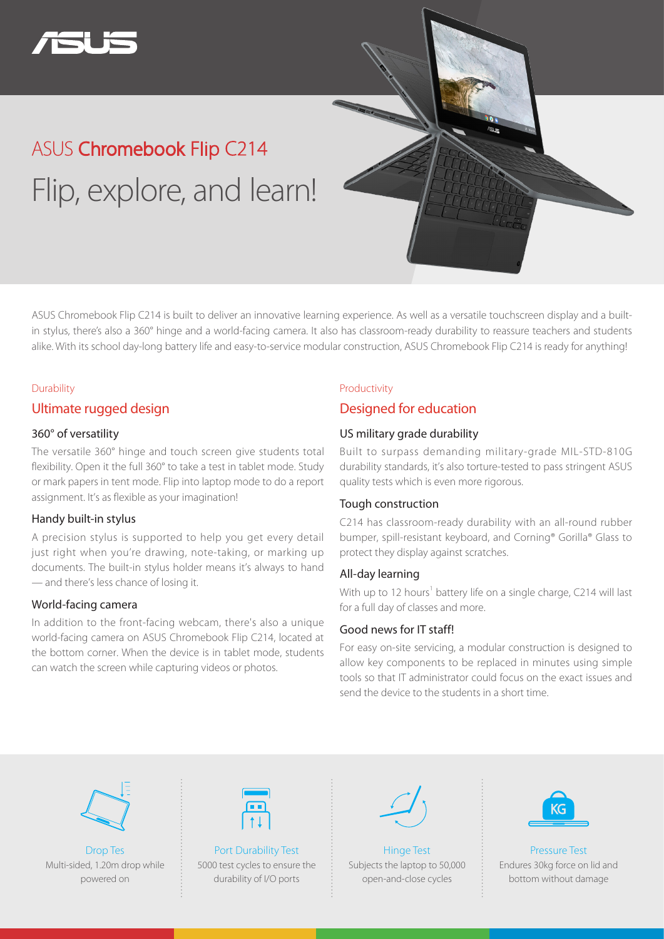

# ASUS Chromebook Flip C214 Flip, explore, and learn!

ASUS Chromebook Flip C214 is built to deliver an innovative learning experience. As well as a versatile touchscreen display and a builtin stylus, there's also a 360° hinge and a world-facing camera. It also has classroom-ready durability to reassure teachers and students alike. With its school day-long battery life and easy-to-service modular construction, ASUS Chromebook Flip C214 is ready for anything!

#### **Durability**

### Ultimate rugged design

#### 360° of versatility

The versatile 360° hinge and touch screen give students total flexibility. Open it the full 360° to take a test in tablet mode. Study or mark papers in tent mode. Flip into laptop mode to do a report assignment. It's as flexible as your imagination!

#### Handy built-in stylus

A precision stylus is supported to help you get every detail just right when you're drawing, note-taking, or marking up documents. The built-in stylus holder means it's always to hand — and there's less chance of losing it.

#### World-facing camera

In addition to the front-facing webcam, there's also a unique world-facing camera on ASUS Chromebook Flip C214, located at the bottom corner. When the device is in tablet mode, students can watch the screen while capturing videos or photos.

# Productivity

## Designed for education

### US military grade durability

Built to surpass demanding military-grade MIL-STD-810G durability standards, it's also torture-tested to pass stringent ASUS quality tests which is even more rigorous.

#### Tough construction

C214 has classroom-ready durability with an all-round rubber bumper, spill-resistant keyboard, and Corning® Gorilla® Glass to protect they display against scratches.

#### All-day learning

With up to 12 hours<sup>1</sup> battery life on a single charge, C214 will last for a full day of classes and more.

#### Good news for IT staff!

For easy on-site servicing, a modular construction is designed to allow key components to be replaced in minutes using simple tools so that IT administrator could focus on the exact issues and send the device to the students in a short time.



Drop Tes Multi-sided, 1.20m drop while powered on



Port Durability Test 5000 test cycles to ensure the durability of I/O ports



Hinge Test Subjects the laptop to 50,000 open-and-close cycles



Pressure Test Endures 30kg force on lid and bottom without damage